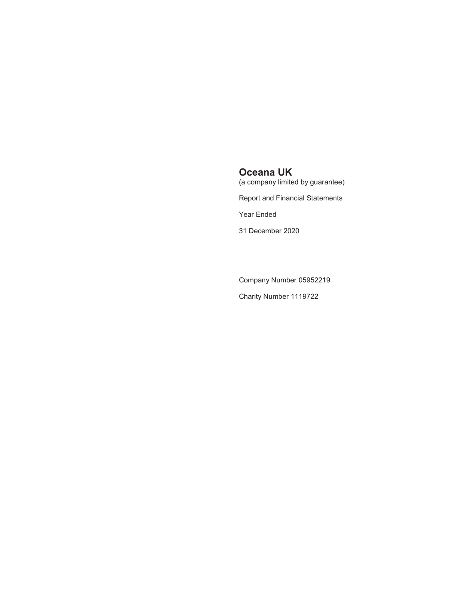(a company limited by guarantee)

Report and Financial Statements

Year Ended

31 December 2020

Company Number 05952219

Charity Number 1119722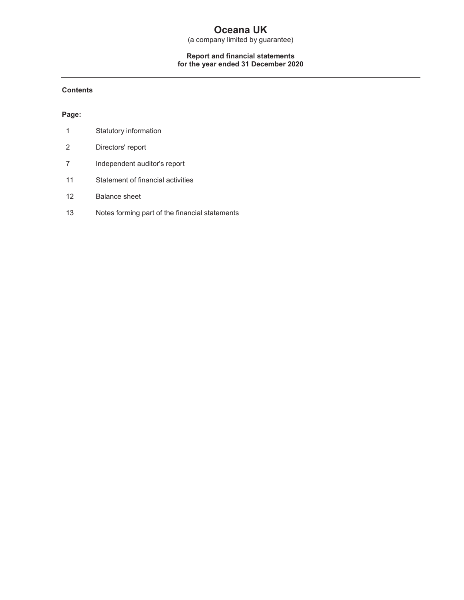(a company limited by guarantee)

#### **Report and financial statements for the year ended 31 December 2020**

#### **Contents**

#### **Page:**

|    | Statutory information                          |
|----|------------------------------------------------|
| 2  | Directors' report                              |
|    | Independent auditor's report                   |
| 11 | Statement of financial activities              |
| 12 | <b>Balance sheet</b>                           |
| 13 | Notes forming part of the financial statements |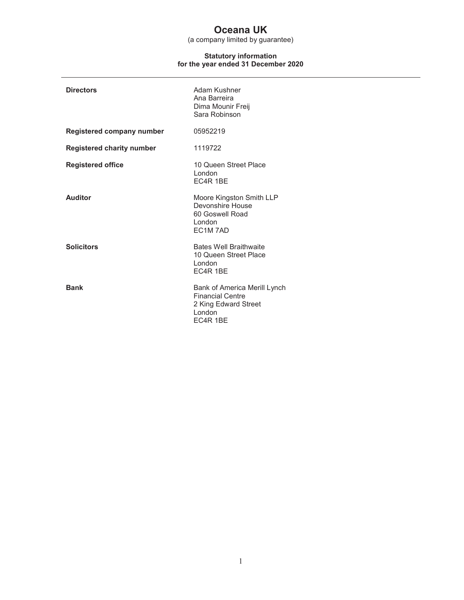(a company limited by guarantee)

#### **Statutory information for the year ended 31 December 2020**

| <b>Directors</b>                 | Adam Kushner<br>Ana Barreira<br>Dima Mounir Freij<br>Sara Robinson                                    |
|----------------------------------|-------------------------------------------------------------------------------------------------------|
| Registered company number        | 05952219                                                                                              |
| <b>Registered charity number</b> | 1119722                                                                                               |
| <b>Registered office</b>         | 10 Queen Street Place<br>London<br>EC4R 1BE                                                           |
| <b>Auditor</b>                   | Moore Kingston Smith LLP<br>Devonshire House<br>60 Goswell Road<br>London<br>EC1M7AD                  |
| <b>Solicitors</b>                | <b>Bates Well Braithwaite</b><br>10 Queen Street Place<br>London<br>EC4R 1BE                          |
| <b>Bank</b>                      | Bank of America Merill Lynch<br><b>Financial Centre</b><br>2 King Edward Street<br>London<br>EC4R 1BE |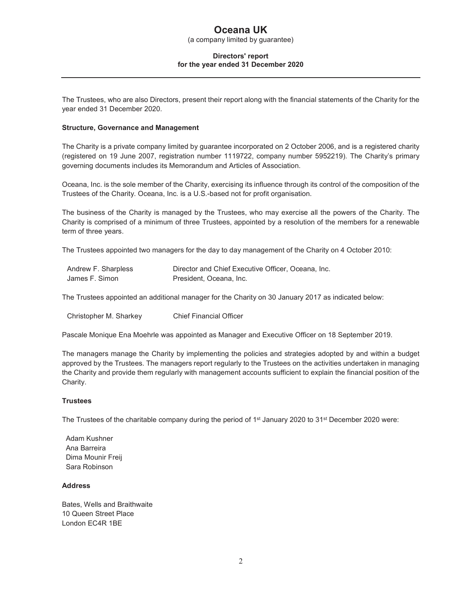(a company limited by guarantee)

#### **Directors' report for the year ended 31 December 2020**

The Trustees, who are also Directors, present their report along with the financial statements of the Charity for the year ended 31 December 2020.

#### **Structure, Governance and Management**

The Charity is a private company limited by guarantee incorporated on 2 October 2006, and is a registered charity (registered on 19 June 2007, registration number 1119722, company number 5952219). The Charity's primary governing documents includes its Memorandum and Articles of Association.

Oceana, Inc. is the sole member of the Charity, exercising its influence through its control of the composition of the Trustees of the Charity. Oceana, Inc. is a U.S.-based not for profit organisation.

The business of the Charity is managed by the Trustees, who may exercise all the powers of the Charity. The Charity is comprised of a minimum of three Trustees, appointed by a resolution of the members for a renewable term of three years.

The Trustees appointed two managers for the day to day management of the Charity on 4 October 2010:

| Andrew F. Sharpless | Director and Chief Executive Officer, Oceana, Inc. |
|---------------------|----------------------------------------------------|
| James F. Simon      | President, Oceana, Inc.                            |

The Trustees appointed an additional manager for the Charity on 30 January 2017 as indicated below:

Christopher M. Sharkey Chief Financial Officer

Pascale Monique Ena Moehrle was appointed as Manager and Executive Officer on 18 September 2019.

The managers manage the Charity by implementing the policies and strategies adopted by and within a budget approved by the Trustees. The managers report regularly to the Trustees on the activities undertaken in managing the Charity and provide them regularly with management accounts sufficient to explain the financial position of the Charity.

#### **Trustees**

The Trustees of the charitable company during the period of 1<sup>st</sup> January 2020 to 31<sup>st</sup> December 2020 were:

Adam Kushner Ana Barreira Dima Mounir Freij Sara Robinson

#### **Address**

Bates, Wells and Braithwaite 10 Queen Street Place London EC4R 1BE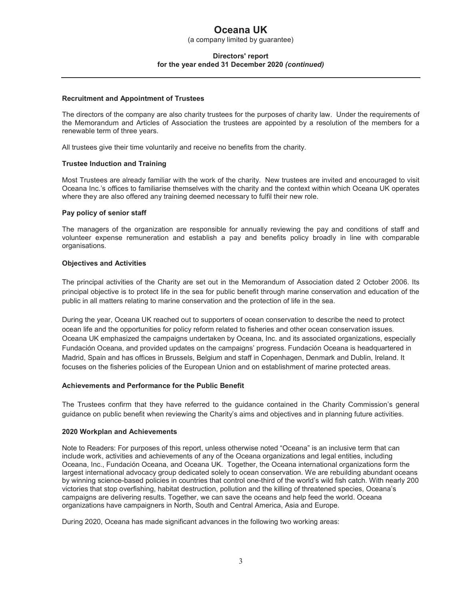(a company limited by guarantee)

#### **Directors' report for the year ended 31 December 2020** *(continued)*

#### **Recruitment and Appointment of Trustees**

The directors of the company are also charity trustees for the purposes of charity law. Under the requirements of the Memorandum and Articles of Association the trustees are appointed by a resolution of the members for a renewable term of three years.

All trustees give their time voluntarily and receive no benefits from the charity.

#### **Trustee Induction and Training**

Most Trustees are already familiar with the work of the charity. New trustees are invited and encouraged to visit Oceana Inc.'s offices to familiarise themselves with the charity and the context within which Oceana UK operates where they are also offered any training deemed necessary to fulfil their new role.

#### **Pay policy of senior staff**

The managers of the organization are responsible for annually reviewing the pay and conditions of staff and volunteer expense remuneration and establish a pay and benefits policy broadly in line with comparable organisations.

#### **Objectives and Activities**

The principal activities of the Charity are set out in the Memorandum of Association dated 2 October 2006. Its principal objective is to protect life in the sea for public benefit through marine conservation and education of the public in all matters relating to marine conservation and the protection of life in the sea.

During the year, Oceana UK reached out to supporters of ocean conservation to describe the need to protect ocean life and the opportunities for policy reform related to fisheries and other ocean conservation issues. Oceana UK emphasized the campaigns undertaken by Oceana, Inc. and its associated organizations, especially Fundación Oceana, and provided updates on the campaigns' progress. Fundación Oceana is headquartered in Madrid, Spain and has offices in Brussels, Belgium and staff in Copenhagen, Denmark and Dublin, Ireland. It focuses on the fisheries policies of the European Union and on establishment of marine protected areas.

#### **Achievements and Performance for the Public Benefit**

The Trustees confirm that they have referred to the guidance contained in the Charity Commission's general guidance on public benefit when reviewing the Charity's aims and objectives and in planning future activities.

#### **2020 Workplan and Achievements**

Note to Readers: For purposes of this report, unless otherwise noted "Oceana" is an inclusive term that can include work, activities and achievements of any of the Oceana organizations and legal entities, including Oceana, Inc., Fundación Oceana, and Oceana UK. Together, the Oceana international organizations form the largest international advocacy group dedicated solely to ocean conservation. We are rebuilding abundant oceans by winning science-based policies in countries that control one-third of the world's wild fish catch. With nearly 200 victories that stop overfishing, habitat destruction, pollution and the killing of threatened species, Oceana's campaigns are delivering results. Together, we can save the oceans and help feed the world. Oceana organizations have campaigners in North, South and Central America, Asia and Europe.

During 2020, Oceana has made significant advances in the following two working areas: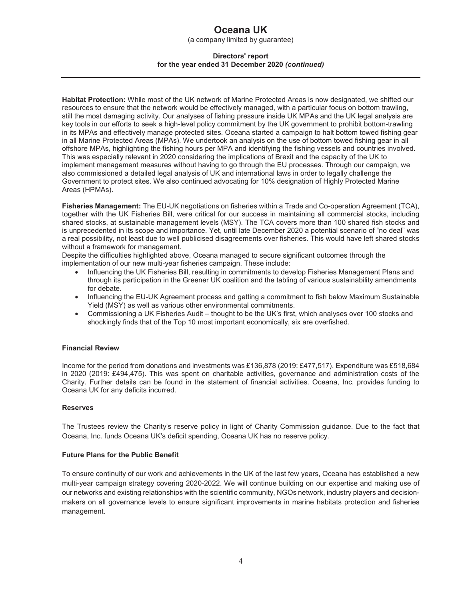(a company limited by guarantee)

#### **Directors' report for the year ended 31 December 2020** *(continued)*

**Habitat Protection:** While most of the UK network of Marine Protected Areas is now designated, we shifted our resources to ensure that the network would be effectively managed, with a particular focus on bottom trawling, still the most damaging activity. Our analyses of fishing pressure inside UK MPAs and the UK legal analysis are key tools in our efforts to seek a high-level policy commitment by the UK government to prohibit bottom-trawling in its MPAs and effectively manage protected sites. Oceana started a campaign to halt bottom towed fishing gear in all Marine Protected Areas (MPAs). We undertook an analysis on the use of bottom towed fishing gear in all offshore MPAs, highlighting the fishing hours per MPA and identifying the fishing vessels and countries involved. This was especially relevant in 2020 considering the implications of Brexit and the capacity of the UK to implement management measures without having to go through the EU processes. Through our campaign, we also commissioned a detailed legal analysis of UK and international laws in order to legally challenge the Government to protect sites. We also continued advocating for 10% designation of Highly Protected Marine Areas (HPMAs).

**Fisheries Management:** The EU-UK negotiations on fisheries within a Trade and Co-operation Agreement (TCA), together with the UK Fisheries Bill, were critical for our success in maintaining all commercial stocks, including shared stocks, at sustainable management levels (MSY). The TCA covers more than 100 shared fish stocks and is unprecedented in its scope and importance. Yet, until late December 2020 a potential scenario of "no deal" was a real possibility, not least due to well publicised disagreements over fisheries. This would have left shared stocks without a framework for management.

Despite the difficulties highlighted above, Oceana managed to secure significant outcomes through the implementation of our new multi-year fisheries campaign. These include:

- Influencing the UK Fisheries Bill, resulting in commitments to develop Fisheries Management Plans and through its participation in the Greener UK coalition and the tabling of various sustainability amendments for debate.
- Influencing the EU-UK Agreement process and getting a commitment to fish below Maximum Sustainable Yield (MSY) as well as various other environmental commitments.
- Commissioning a UK Fisheries Audit thought to be the UK's first, which analyses over 100 stocks and shockingly finds that of the Top 10 most important economically, six are overfished.

#### **Financial Review**

Income for the period from donations and investments was £136,878 (2019: £477,517). Expenditure was £518,684 in 2020 (2019: £494,475). This was spent on charitable activities, governance and administration costs of the Charity. Further details can be found in the statement of financial activities. Oceana, Inc. provides funding to Oceana UK for any deficits incurred.

#### **Reserves**

The Trustees review the Charity's reserve policy in light of Charity Commission guidance. Due to the fact that Oceana, Inc. funds Oceana UK's deficit spending, Oceana UK has no reserve policy.

#### **Future Plans for the Public Benefit**

To ensure continuity of our work and achievements in the UK of the last few years, Oceana has established a new multi-year campaign strategy covering 2020-2022. We will continue building on our expertise and making use of our networks and existing relationships with the scientific community, NGOs network, industry players and decisionmakers on all governance levels to ensure significant improvements in marine habitats protection and fisheries management.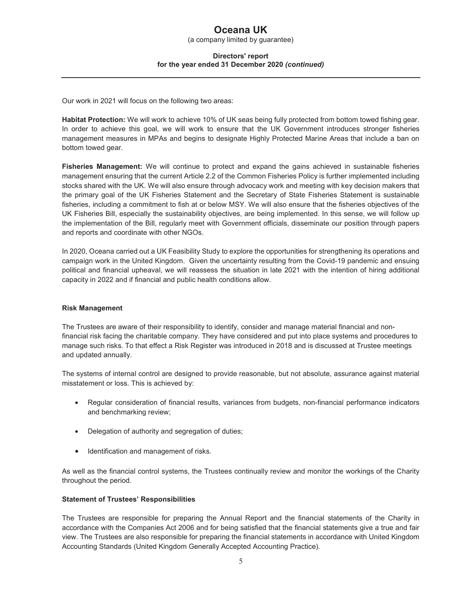(a company limited by guarantee)

#### **Directors' report for the year ended 31 December 2020** *(continued)*

Our work in 2021 will focus on the following two areas:

**Habitat Protection:** We will work to achieve 10% of UK seas being fully protected from bottom towed fishing gear. In order to achieve this goal, we will work to ensure that the UK Government introduces stronger fisheries management measures in MPAs and begins to designate Highly Protected Marine Areas that include a ban on bottom towed gear.

**Fisheries Management:** We will continue to protect and expand the gains achieved in sustainable fisheries management ensuring that the current Article 2.2 of the Common Fisheries Policy is further implemented including stocks shared with the UK. We will also ensure through advocacy work and meeting with key decision makers that the primary goal of the UK Fisheries Statement and the Secretary of State Fisheries Statement is sustainable fisheries, including a commitment to fish at or below MSY. We will also ensure that the fisheries objectives of the UK Fisheries Bill, especially the sustainability objectives, are being implemented. In this sense, we will follow up the implementation of the Bill, regularly meet with Government officials, disseminate our position through papers and reports and coordinate with other NGOs.

In 2020, Oceana carried out a UK Feasibility Study to explore the opportunities for strengthening its operations and campaign work in the United Kingdom. Given the uncertainty resulting from the Covid-19 pandemic and ensuing political and financial upheaval, we will reassess the situation in late 2021 with the intention of hiring additional capacity in 2022 and if financial and public health conditions allow.

#### **Risk Management**

The Trustees are aware of their responsibility to identify, consider and manage material financial and nonfinancial risk facing the charitable company. They have considered and put into place systems and procedures to manage such risks. To that effect a Risk Register was introduced in 2018 and is discussed at Trustee meetings and updated annually.

The systems of internal control are designed to provide reasonable, but not absolute, assurance against material misstatement or loss. This is achieved by:

- Regular consideration of financial results, variances from budgets, non-financial performance indicators and benchmarking review;
- Delegation of authority and segregation of duties;
- Identification and management of risks.

As well as the financial control systems, the Trustees continually review and monitor the workings of the Charity throughout the period.

#### **Statement of Trustees' Responsibilities**

The Trustees are responsible for preparing the Annual Report and the financial statements of the Charity in accordance with the Companies Act 2006 and for being satisfied that the financial statements give a true and fair view. The Trustees are also responsible for preparing the financial statements in accordance with United Kingdom Accounting Standards (United Kingdom Generally Accepted Accounting Practice).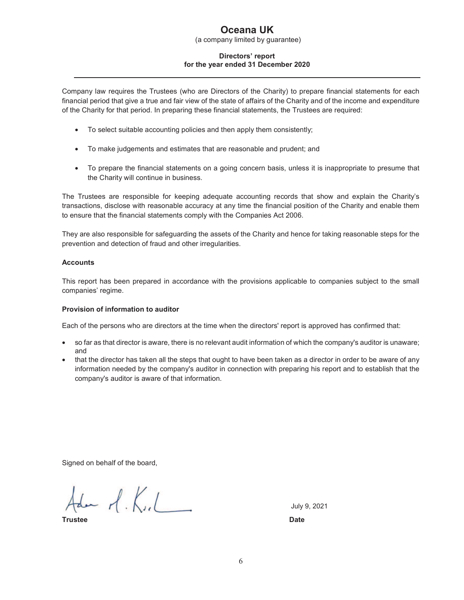(a company limited by guarantee)

#### **Directors' report for the year ended 31 December 2020**

Company law requires the Trustees (who are Directors of the Charity) to prepare financial statements for each financial period that give a true and fair view of the state of affairs of the Charity and of the income and expenditure of the Charity for that period. In preparing these financial statements, the Trustees are required:

- To select suitable accounting policies and then apply them consistently;
- To make judgements and estimates that are reasonable and prudent; and
- To prepare the financial statements on a going concern basis, unless it is inappropriate to presume that the Charity will continue in business.

The Trustees are responsible for keeping adequate accounting records that show and explain the Charity's transactions, disclose with reasonable accuracy at any time the financial position of the Charity and enable them to ensure that the financial statements comply with the Companies Act 2006.

They are also responsible for safeguarding the assets of the Charity and hence for taking reasonable steps for the prevention and detection of fraud and other irregularities.

#### **Accounts**

This report has been prepared in accordance with the provisions applicable to companies subject to the small companies' regime.

#### **Provision of information to auditor**

Each of the persons who are directors at the time when the directors' report is approved has confirmed that:

- so far as that director is aware, there is no relevant audit information of which the company's auditor is unaware; and
- that the director has taken all the steps that ought to have been taken as a director in order to be aware of any information needed by the company's auditor in connection with preparing his report and to establish that the company's auditor is aware of that information.

Signed on behalf of the board,

Ada  $A.K.L$ 

**Trustee Date** 

July 9, 2021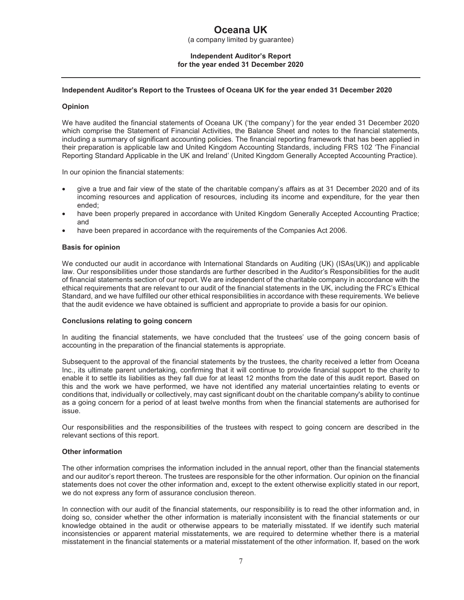(a company limited by guarantee)

#### **Independent Auditor's Report for the year ended 31 December 2020**

#### **Independent Auditor's Report to the Trustees of Oceana UK for the year ended 31 December 2020**

#### **Opinion**

We have audited the financial statements of Oceana UK ('the company') for the year ended 31 December 2020 which comprise the Statement of Financial Activities, the Balance Sheet and notes to the financial statements, including a summary of significant accounting policies. The financial reporting framework that has been applied in their preparation is applicable law and United Kingdom Accounting Standards, including FRS 102 'The Financial Reporting Standard Applicable in the UK and Ireland' (United Kingdom Generally Accepted Accounting Practice).

In our opinion the financial statements:

- give a true and fair view of the state of the charitable company's affairs as at 31 December 2020 and of its incoming resources and application of resources, including its income and expenditure, for the year then ended;
- have been properly prepared in accordance with United Kingdom Generally Accepted Accounting Practice; and
- have been prepared in accordance with the requirements of the Companies Act 2006.

#### **Basis for opinion**

We conducted our audit in accordance with International Standards on Auditing (UK) (ISAs(UK)) and applicable law. Our responsibilities under those standards are further described in the Auditor's Responsibilities for the audit of financial statements section of our report. We are independent of the charitable company in accordance with the ethical requirements that are relevant to our audit of the financial statements in the UK, including the FRC's Ethical Standard, and we have fulfilled our other ethical responsibilities in accordance with these requirements. We believe that the audit evidence we have obtained is sufficient and appropriate to provide a basis for our opinion.

#### **Conclusions relating to going concern**

In auditing the financial statements, we have concluded that the trustees' use of the going concern basis of accounting in the preparation of the financial statements is appropriate.

Subsequent to the approval of the financial statements by the trustees, the charity received a letter from Oceana Inc., its ultimate parent undertaking, confirming that it will continue to provide financial support to the charity to enable it to settle its liabilities as they fall due for at least 12 months from the date of this audit report. Based on this and the work we have performed, we have not identified any material uncertainties relating to events or conditions that, individually or collectively, may cast significant doubt on the charitable company's ability to continue as a going concern for a period of at least twelve months from when the financial statements are authorised for issue.

Our responsibilities and the responsibilities of the trustees with respect to going concern are described in the relevant sections of this report.

#### **Other information**

The other information comprises the information included in the annual report, other than the financial statements and our auditor's report thereon. The trustees are responsible for the other information. Our opinion on the financial statements does not cover the other information and, except to the extent otherwise explicitly stated in our report, we do not express any form of assurance conclusion thereon.

In connection with our audit of the financial statements, our responsibility is to read the other information and, in doing so, consider whether the other information is materially inconsistent with the financial statements or our knowledge obtained in the audit or otherwise appears to be materially misstated. If we identify such material inconsistencies or apparent material misstatements, we are required to determine whether there is a material misstatement in the financial statements or a material misstatement of the other information. If, based on the work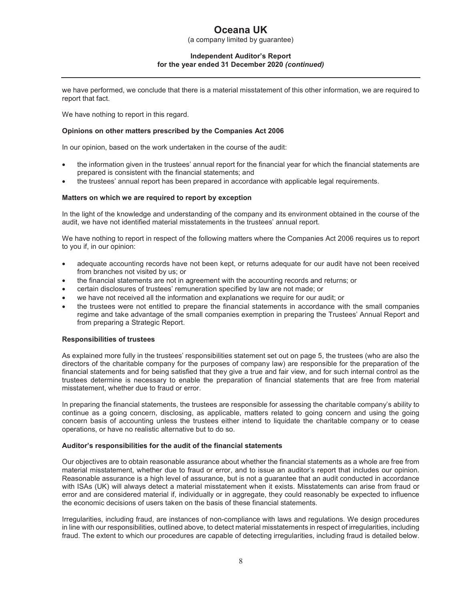(a company limited by guarantee)

#### **Independent Auditor's Report for the year ended 31 December 2020** *(continued)*

we have performed, we conclude that there is a material misstatement of this other information, we are required to report that fact.

We have nothing to report in this regard.

#### **Opinions on other matters prescribed by the Companies Act 2006**

In our opinion, based on the work undertaken in the course of the audit:

- the information given in the trustees' annual report for the financial year for which the financial statements are prepared is consistent with the financial statements; and
- the trustees' annual report has been prepared in accordance with applicable legal requirements.

#### **Matters on which we are required to report by exception**

In the light of the knowledge and understanding of the company and its environment obtained in the course of the audit, we have not identified material misstatements in the trustees' annual report.

We have nothing to report in respect of the following matters where the Companies Act 2006 requires us to report to you if, in our opinion:

- adequate accounting records have not been kept, or returns adequate for our audit have not been received from branches not visited by us; or
- the financial statements are not in agreement with the accounting records and returns; or
- certain disclosures of trustees' remuneration specified by law are not made; or
- we have not received all the information and explanations we require for our audit; or
- the trustees were not entitled to prepare the financial statements in accordance with the small companies regime and take advantage of the small companies exemption in preparing the Trustees' Annual Report and from preparing a Strategic Report.

#### **Responsibilities of trustees**

As explained more fully in the trustees' responsibilities statement set out on page 5, the trustees (who are also the directors of the charitable company for the purposes of company law) are responsible for the preparation of the financial statements and for being satisfied that they give a true and fair view, and for such internal control as the trustees determine is necessary to enable the preparation of financial statements that are free from material misstatement, whether due to fraud or error.

In preparing the financial statements, the trustees are responsible for assessing the charitable company's ability to continue as a going concern, disclosing, as applicable, matters related to going concern and using the going concern basis of accounting unless the trustees either intend to liquidate the charitable company or to cease operations, or have no realistic alternative but to do so.

#### **Auditor's responsibilities for the audit of the financial statements**

Our objectives are to obtain reasonable assurance about whether the financial statements as a whole are free from material misstatement, whether due to fraud or error, and to issue an auditor's report that includes our opinion. Reasonable assurance is a high level of assurance, but is not a guarantee that an audit conducted in accordance with ISAs (UK) will always detect a material misstatement when it exists. Misstatements can arise from fraud or error and are considered material if, individually or in aggregate, they could reasonably be expected to influence the economic decisions of users taken on the basis of these financial statements.

Irregularities, including fraud, are instances of non-compliance with laws and regulations. We design procedures in line with our responsibilities, outlined above, to detect material misstatements in respect of irregularities, including fraud. The extent to which our procedures are capable of detecting irregularities, including fraud is detailed below.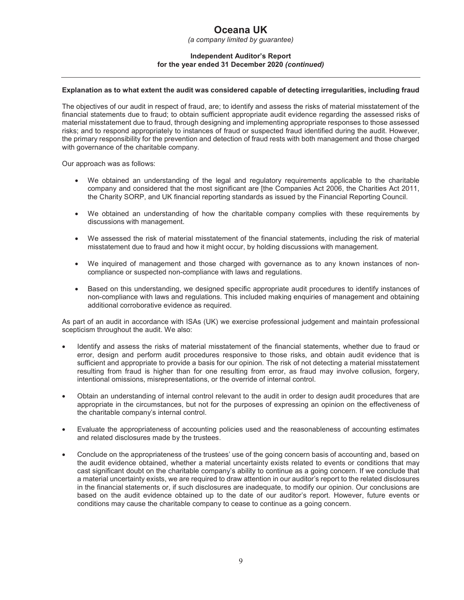*(a company limited by guarantee)* 

#### **Independent Auditor's Report for the year ended 31 December 2020** *(continued)*

#### **Explanation as to what extent the audit was considered capable of detecting irregularities, including fraud**

The objectives of our audit in respect of fraud, are; to identify and assess the risks of material misstatement of the financial statements due to fraud; to obtain sufficient appropriate audit evidence regarding the assessed risks of material misstatement due to fraud, through designing and implementing appropriate responses to those assessed risks; and to respond appropriately to instances of fraud or suspected fraud identified during the audit. However, the primary responsibility for the prevention and detection of fraud rests with both management and those charged with governance of the charitable company.

Our approach was as follows:

- We obtained an understanding of the legal and regulatory requirements applicable to the charitable company and considered that the most significant are [the Companies Act 2006, the Charities Act 2011, the Charity SORP, and UK financial reporting standards as issued by the Financial Reporting Council.
- We obtained an understanding of how the charitable company complies with these requirements by discussions with management.
- We assessed the risk of material misstatement of the financial statements, including the risk of material misstatement due to fraud and how it might occur, by holding discussions with management.
- We inquired of management and those charged with governance as to any known instances of noncompliance or suspected non-compliance with laws and regulations.
- Based on this understanding, we designed specific appropriate audit procedures to identify instances of non-compliance with laws and regulations. This included making enquiries of management and obtaining additional corroborative evidence as required.

As part of an audit in accordance with ISAs (UK) we exercise professional judgement and maintain professional scepticism throughout the audit. We also:

- Identify and assess the risks of material misstatement of the financial statements, whether due to fraud or error, design and perform audit procedures responsive to those risks, and obtain audit evidence that is sufficient and appropriate to provide a basis for our opinion. The risk of not detecting a material misstatement resulting from fraud is higher than for one resulting from error, as fraud may involve collusion, forgery, intentional omissions, misrepresentations, or the override of internal control.
- Obtain an understanding of internal control relevant to the audit in order to design audit procedures that are appropriate in the circumstances, but not for the purposes of expressing an opinion on the effectiveness of the charitable company's internal control.
- Evaluate the appropriateness of accounting policies used and the reasonableness of accounting estimates and related disclosures made by the trustees.
- Conclude on the appropriateness of the trustees' use of the going concern basis of accounting and, based on the audit evidence obtained, whether a material uncertainty exists related to events or conditions that may cast significant doubt on the charitable company's ability to continue as a going concern. If we conclude that a material uncertainty exists, we are required to draw attention in our auditor's report to the related disclosures in the financial statements or, if such disclosures are inadequate, to modify our opinion. Our conclusions are based on the audit evidence obtained up to the date of our auditor's report. However, future events or conditions may cause the charitable company to cease to continue as a going concern.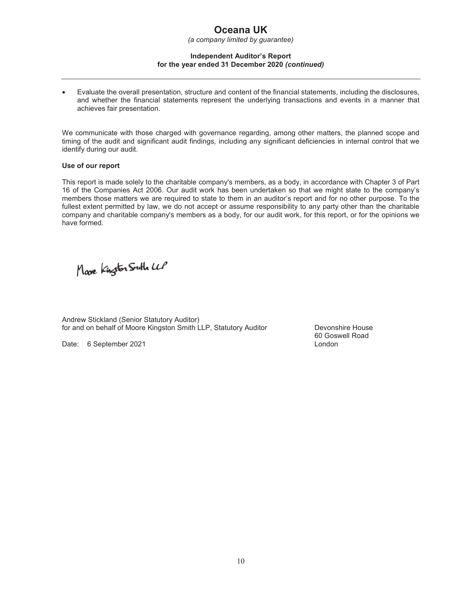*(a company limited by guarantee)* 

#### **Independent Auditor's Report for the year ended 31 December 2020** *(continued)*

• Evaluate the overall presentation, structure and content of the financial statements, including the disclosures, and whether the financial statements represent the underlying transactions and events in a manner that achieves fair presentation.

We communicate with those charged with governance regarding, among other matters, the planned scope and timing of the audit and significant audit findings, including any significant deficiencies in internal control that we identify during our audit.

#### **Use of our report**

This report is made solely to the charitable company's members, as a body, in accordance with Chapter 3 of Part 16 of the Companies Act 2006. Our audit work has been undertaken so that we might state to the company's members those matters we are required to state to them in an auditor's report and for no other purpose. To the fullest extent permitted by law, we do not accept or assume responsibility to any party other than the charitable company and charitable company's members as a body, for our audit work, for this report, or for the opinions we have formed.

Mare Kingston Suth LLP

Andrew Stickland (Senior Statutory Auditor) for and on behalf of Moore Kingston Smith LLP, Statutory Auditor **Devonshire House** 

Date: 6 September 2021 **Date: 6 September 2021** 

60 Goswell Road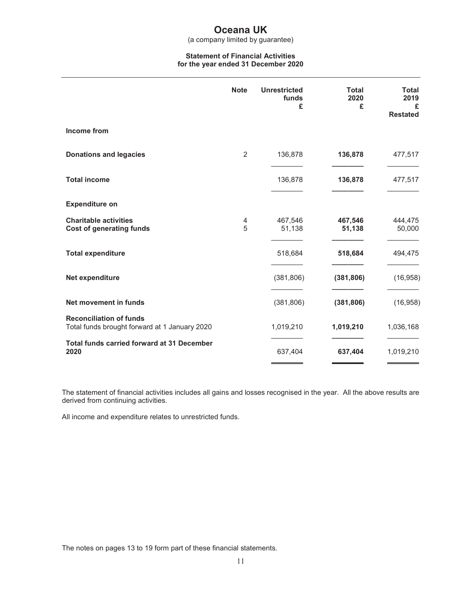(a company limited by guarantee)

#### **Statement of Financial Activities for the year ended 31 December 2020**

|                                                                                 | <b>Note</b>    | <b>Unrestricted</b><br>funds<br>£ | <b>Total</b><br>2020<br>£ | Total<br>2019<br>£<br><b>Restated</b> |
|---------------------------------------------------------------------------------|----------------|-----------------------------------|---------------------------|---------------------------------------|
| Income from                                                                     |                |                                   |                           |                                       |
| <b>Donations and legacies</b>                                                   | $\overline{2}$ | 136,878                           | 136,878                   | 477,517                               |
| <b>Total income</b>                                                             |                | 136,878                           | 136,878                   | 477,517                               |
| <b>Expenditure on</b>                                                           |                |                                   |                           |                                       |
| <b>Charitable activities</b><br><b>Cost of generating funds</b>                 | 4<br>5         | 467,546<br>51,138                 | 467,546<br>51,138         | 444,475<br>50,000                     |
| <b>Total expenditure</b>                                                        |                | 518,684                           | 518,684                   | 494,475                               |
| Net expenditure                                                                 |                | (381, 806)                        | (381, 806)                | (16, 958)                             |
| Net movement in funds                                                           |                | (381, 806)                        | (381, 806)                | (16, 958)                             |
| <b>Reconciliation of funds</b><br>Total funds brought forward at 1 January 2020 |                | 1,019,210                         | 1,019,210                 | 1,036,168                             |
| <b>Total funds carried forward at 31 December</b><br>2020                       |                | 637,404                           | 637,404                   | 1,019,210                             |

The statement of financial activities includes all gains and losses recognised in the year. All the above results are derived from continuing activities.

All income and expenditure relates to unrestricted funds.

The notes on pages 13 to 19 form part of these financial statements.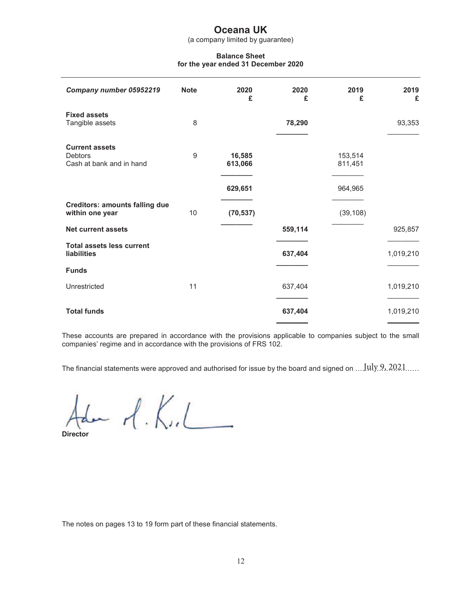(a company limited by guarantee)

#### **Balance Sheet for the year ended 31 December 2020**

| Company number 05952219                                             | <b>Note</b> | 2020<br>£         | 2020<br>£ | 2019<br>£          | 2019<br>£ |
|---------------------------------------------------------------------|-------------|-------------------|-----------|--------------------|-----------|
| <b>Fixed assets</b><br>Tangible assets                              | 8           |                   | 78,290    |                    | 93,353    |
| <b>Current assets</b><br><b>Debtors</b><br>Cash at bank and in hand | 9           | 16,585<br>613,066 |           | 153,514<br>811,451 |           |
|                                                                     |             | 629,651           |           | 964,965            |           |
| <b>Creditors: amounts falling due</b><br>within one year            | 10          | (70, 537)         |           | (39, 108)          |           |
| <b>Net current assets</b>                                           |             |                   | 559,114   |                    | 925,857   |
| <b>Total assets less current</b><br>liabilities                     |             |                   | 637,404   |                    | 1,019,210 |
| <b>Funds</b>                                                        |             |                   |           |                    |           |
| Unrestricted                                                        | 11          |                   | 637,404   |                    | 1,019,210 |
| <b>Total funds</b>                                                  |             |                   | 637,404   |                    | 1,019,210 |

These accounts are prepared in accordance with the provisions applicable to companies subject to the small companies' regime and in accordance with the provisions of FRS 102.

The financial statements were approved and authorised for issue by the board and signed on …  $\text{July}.9, 2021. . . . .$ 

 $Adm$   $d. K. L$ 

The notes on pages 13 to 19 form part of these financial statements.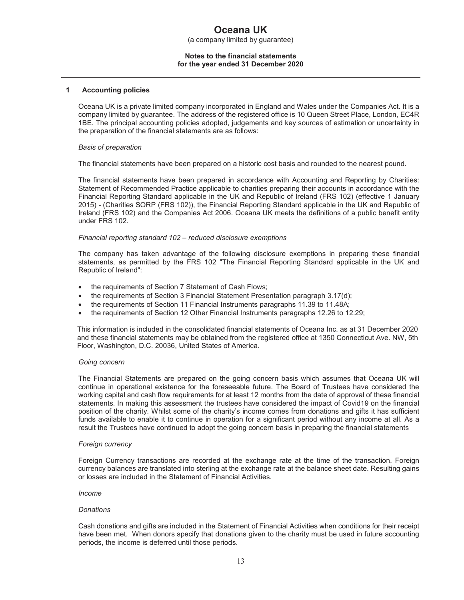(a company limited by guarantee)

#### **Notes to the financial statements for the year ended 31 December 2020**

#### **1 Accounting policies**

Oceana UK is a private limited company incorporated in England and Wales under the Companies Act. It is a company limited by guarantee. The address of the registered office is 10 Queen Street Place, London, EC4R 1BE. The principal accounting policies adopted, judgements and key sources of estimation or uncertainty in the preparation of the financial statements are as follows:

#### *Basis of preparation*

The financial statements have been prepared on a historic cost basis and rounded to the nearest pound.

The financial statements have been prepared in accordance with Accounting and Reporting by Charities: Statement of Recommended Practice applicable to charities preparing their accounts in accordance with the Financial Reporting Standard applicable in the UK and Republic of Ireland (FRS 102) (effective 1 January 2015) - (Charities SORP (FRS 102)), the Financial Reporting Standard applicable in the UK and Republic of Ireland (FRS 102) and the Companies Act 2006. Oceana UK meets the definitions of a public benefit entity under FRS 102.

#### *Financial reporting standard 102 – reduced disclosure exemptions*

The company has taken advantage of the following disclosure exemptions in preparing these financial statements, as permitted by the FRS 102 "The Financial Reporting Standard applicable in the UK and Republic of Ireland":

- the requirements of Section 7 Statement of Cash Flows;
- the requirements of Section 3 Financial Statement Presentation paragraph 3.17(d);
- the requirements of Section 11 Financial Instruments paragraphs 11.39 to 11.48A;
- the requirements of Section 12 Other Financial Instruments paragraphs 12.26 to 12.29;

This information is included in the consolidated financial statements of Oceana Inc. as at 31 December 2020 and these financial statements may be obtained from the registered office at 1350 Connecticut Ave. NW, 5th Floor, Washington, D.C. 20036, United States of America.

#### *Going concern*

The Financial Statements are prepared on the going concern basis which assumes that Oceana UK will continue in operational existence for the foreseeable future. The Board of Trustees have considered the working capital and cash flow requirements for at least 12 months from the date of approval of these financial statements. In making this assessment the trustees have considered the impact of Covid19 on the financial position of the charity. Whilst some of the charity's income comes from donations and gifts it has sufficient funds available to enable it to continue in operation for a significant period without any income at all. As a result the Trustees have continued to adopt the going concern basis in preparing the financial statements

#### *Foreign currency*

Foreign Currency transactions are recorded at the exchange rate at the time of the transaction. Foreign currency balances are translated into sterling at the exchange rate at the balance sheet date. Resulting gains or losses are included in the Statement of Financial Activities.

#### *Income*

#### *Donations*

Cash donations and gifts are included in the Statement of Financial Activities when conditions for their receipt have been met. When donors specify that donations given to the charity must be used in future accounting periods, the income is deferred until those periods.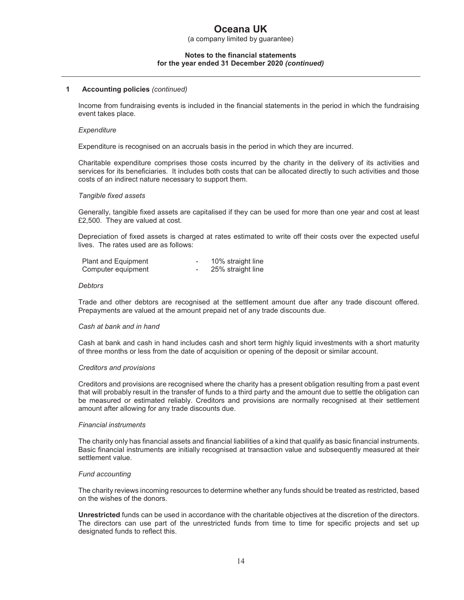(a company limited by guarantee)

#### **Notes to the financial statements for the year ended 31 December 2020** *(continued)*

#### **1 Accounting policies** *(continued)*

Income from fundraising events is included in the financial statements in the period in which the fundraising event takes place.

#### *Expenditure*

Expenditure is recognised on an accruals basis in the period in which they are incurred.

Charitable expenditure comprises those costs incurred by the charity in the delivery of its activities and services for its beneficiaries. It includes both costs that can be allocated directly to such activities and those costs of an indirect nature necessary to support them.

#### *Tangible fixed assets*

Generally, tangible fixed assets are capitalised if they can be used for more than one year and cost at least £2,500. They are valued at cost.

Depreciation of fixed assets is charged at rates estimated to write off their costs over the expected useful lives. The rates used are as follows:

| Plant and Equipment | 10% straight line |
|---------------------|-------------------|
| Computer equipment  | 25% straight line |

#### *Debtors*

Trade and other debtors are recognised at the settlement amount due after any trade discount offered. Prepayments are valued at the amount prepaid net of any trade discounts due.

#### *Cash at bank and in hand*

Cash at bank and cash in hand includes cash and short term highly liquid investments with a short maturity of three months or less from the date of acquisition or opening of the deposit or similar account.

#### *Creditors and provisions*

Creditors and provisions are recognised where the charity has a present obligation resulting from a past event that will probably result in the transfer of funds to a third party and the amount due to settle the obligation can be measured or estimated reliably. Creditors and provisions are normally recognised at their settlement amount after allowing for any trade discounts due.

#### *Financial instruments*

The charity only has financial assets and financial liabilities of a kind that qualify as basic financial instruments. Basic financial instruments are initially recognised at transaction value and subsequently measured at their settlement value.

#### *Fund accounting*

The charity reviews incoming resources to determine whether any funds should be treated as restricted, based on the wishes of the donors.

**Unrestricted** funds can be used in accordance with the charitable objectives at the discretion of the directors. The directors can use part of the unrestricted funds from time to time for specific projects and set up designated funds to reflect this.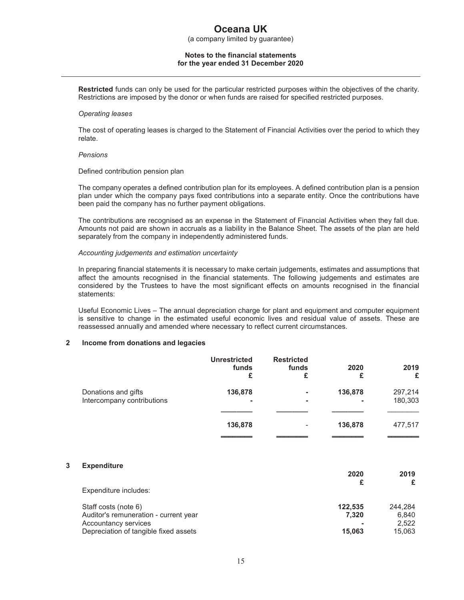(a company limited by guarantee)

#### **Notes to the financial statements for the year ended 31 December 2020**

**Restricted** funds can only be used for the particular restricted purposes within the objectives of the charity. Restrictions are imposed by the donor or when funds are raised for specified restricted purposes.

#### *Operating leases*

The cost of operating leases is charged to the Statement of Financial Activities over the period to which they relate.

#### *Pensions*

Defined contribution pension plan

The company operates a defined contribution plan for its employees. A defined contribution plan is a pension plan under which the company pays fixed contributions into a separate entity. Once the contributions have been paid the company has no further payment obligations.

The contributions are recognised as an expense in the Statement of Financial Activities when they fall due. Amounts not paid are shown in accruals as a liability in the Balance Sheet. The assets of the plan are held separately from the company in independently administered funds.

#### *Accounting judgements and estimation uncertainty*

In preparing financial statements it is necessary to make certain judgements, estimates and assumptions that affect the amounts recognised in the financial statements. The following judgements and estimates are considered by the Trustees to have the most significant effects on amounts recognised in the financial statements:

Useful Economic Lives – The annual depreciation charge for plant and equipment and computer equipment is sensitive to change in the estimated useful economic lives and residual value of assets. These are reassessed annually and amended where necessary to reflect current circumstances.

#### **2 Income from donations and legacies**

|                                                   | <b>Unrestricted</b><br>funds<br>£ | <b>Restricted</b><br>funds<br>£ | 2020<br>£    | 2019<br>£          |
|---------------------------------------------------|-----------------------------------|---------------------------------|--------------|--------------------|
| Donations and gifts<br>Intercompany contributions | 136,878<br>۰                      | ٠<br>۰                          | 136,878<br>۰ | 297,214<br>180,303 |
|                                                   | 136,878                           | $\overline{\phantom{a}}$        | 136,878      | 477,517            |

#### **3 Expenditure**

|         | 2019    |
|---------|---------|
|         | £       |
|         |         |
| 122,535 | 244.284 |
| 7.320   | 6.840   |
|         | 2.522   |
| 15,063  | 15.063  |
|         | 2020    |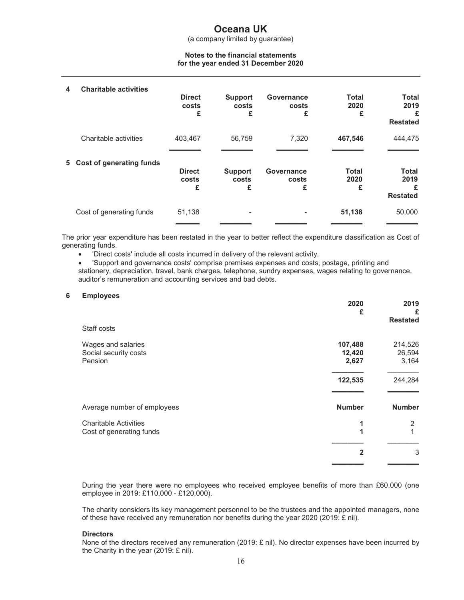(a company limited by guarantee)

#### **Notes to the financial statements for the year ended 31 December 2020**

| 4  | <b>Charitable activities</b> | <b>Direct</b><br>costs<br>£ | Support<br>costs<br>£        | Governance<br>costs<br>£ | <b>Total</b><br>2020<br>£ | <b>Total</b><br>2019<br>£<br><b>Restated</b> |
|----|------------------------------|-----------------------------|------------------------------|--------------------------|---------------------------|----------------------------------------------|
|    | Charitable activities        | 403,467                     | 56.759                       | 7,320                    | 467,546                   | 444,475                                      |
| 5. | Cost of generating funds     | <b>Direct</b><br>costs<br>£ | <b>Support</b><br>costs<br>£ | Governance<br>costs<br>£ | <b>Total</b><br>2020<br>£ | <b>Total</b><br>2019<br>£<br><b>Restated</b> |
|    | Cost of generating funds     | 51,138                      | -                            |                          | 51,138                    | 50,000                                       |

The prior year expenditure has been restated in the year to better reflect the expenditure classification as Cost of generating funds.

• 'Direct costs' include all costs incurred in delivery of the relevant activity.

• 'Support and governance costs' comprise premises expenses and costs, postage, printing and stationery, depreciation, travel, bank charges, telephone, sundry expenses, wages relating to governance, auditor's remuneration and accounting services and bad debts.

#### **6 Employees**

|                              | 2020<br>£      | 2019<br>£<br><b>Restated</b> |
|------------------------------|----------------|------------------------------|
| Staff costs                  |                |                              |
| Wages and salaries           | 107,488        | 214,526                      |
| Social security costs        | 12,420         | 26,594                       |
| Pension                      | 2,627          | 3,164                        |
|                              | 122,535        | 244,284                      |
| Average number of employees  | <b>Number</b>  | <b>Number</b>                |
| <b>Charitable Activities</b> | 1              | 2                            |
| Cost of generating funds     | 1              |                              |
|                              | $\overline{2}$ | 3                            |
|                              |                |                              |

During the year there were no employees who received employee benefits of more than £60,000 (one employee in 2019: £110,000 - £120,000).

The charity considers its key management personnel to be the trustees and the appointed managers, none of these have received any remuneration nor benefits during the year 2020 (2019: £ nil).

#### **Directors**

None of the directors received any remuneration (2019: £ nil). No director expenses have been incurred by the Charity in the year (2019: £ nil).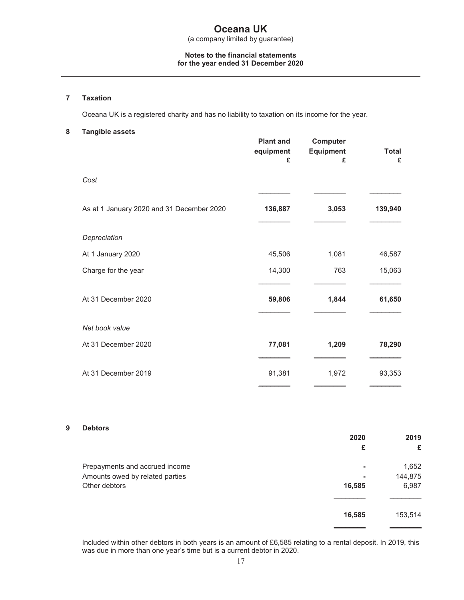#### **Notes to the financial statements for the year ended 31 December 2020**

#### **7 Taxation**

Oceana UK is a registered charity and has no liability to taxation on its income for the year.

#### **8 Tangible assets**

|                                           | <b>Plant and</b><br>equipment<br>£ | Computer<br><b>Equipment</b><br>£ | <b>Total</b><br>£ |
|-------------------------------------------|------------------------------------|-----------------------------------|-------------------|
| Cost                                      |                                    |                                   |                   |
| As at 1 January 2020 and 31 December 2020 | 136,887                            | 3,053                             | 139,940           |
| Depreciation                              |                                    |                                   |                   |
| At 1 January 2020                         | 45,506                             | 1,081                             | 46,587            |
| Charge for the year                       | 14,300                             | 763                               | 15,063            |
| At 31 December 2020                       | 59,806                             | 1,844                             | 61,650            |
| Net book value                            |                                    |                                   |                   |
| At 31 December 2020                       | 77,081                             | 1,209                             | 78,290            |
| At 31 December 2019                       | 91,381                             | 1,972                             | 93,353            |

#### **9 Debtors**

|                                 | 2020   | 2019    |
|---------------------------------|--------|---------|
|                                 | £      | £       |
| Prepayments and accrued income  | ۰      | 1,652   |
| Amounts owed by related parties | ۰      | 144,875 |
| Other debtors                   | 16,585 | 6,987   |
|                                 |        |         |
|                                 | 16,585 | 153,514 |

Included within other debtors in both years is an amount of £6,585 relating to a rental deposit. In 2019, this was due in more than one year's time but is a current debtor in 2020.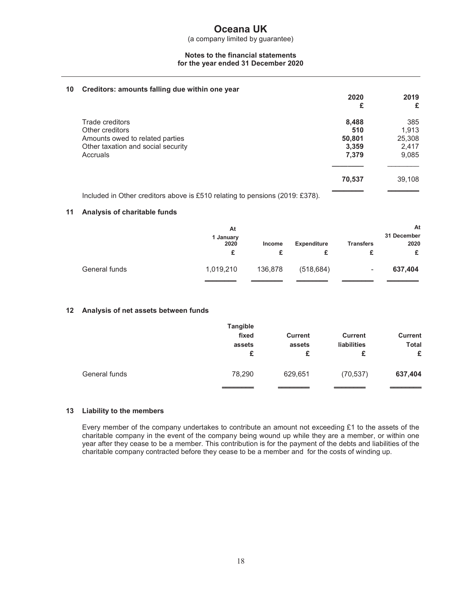(a company limited by guarantee)

#### **Notes to the financial statements for the year ended 31 December 2020**

#### **10 Creditors: amounts falling due within one year**

| $\cdot$ | ordanora, ambanto raimig duo within one your | 2020<br>£ | 2019<br>£ |
|---------|----------------------------------------------|-----------|-----------|
|         | Trade creditors                              | 8,488     | 385       |
|         | Other creditors                              | 510       | 1,913     |
|         | Amounts owed to related parties              | 50,801    | 25,308    |
|         | Other taxation and social security           | 3,359     | 2,417     |
|         | Accruals                                     | 7,379     | 9,085     |
|         |                                              | 70,537    | 39,108    |
|         |                                              |           |           |

Included in Other creditors above is £510 relating to pensions (2019: £378).

#### **11 Analysis of charitable funds**

|               | At<br>1 January<br>2020<br>£ | Income  | <b>Expenditure</b> | <b>Transfers</b>         | At<br>31 December<br>2020<br>£ |
|---------------|------------------------------|---------|--------------------|--------------------------|--------------------------------|
| General funds | 1,019,210                    | 136,878 | (518, 684)         | $\overline{\phantom{a}}$ | 637,404                        |
|               |                              |         |                    |                          |                                |

#### **12 Analysis of net assets between funds**

|               | Tangible<br>fixed<br>assets<br>£ | <b>Current</b><br>assets<br>£ | <b>Current</b><br><b>liabilities</b><br>£ | <b>Current</b><br><b>Total</b><br>£ |
|---------------|----------------------------------|-------------------------------|-------------------------------------------|-------------------------------------|
| General funds | 78,290                           | 629,651                       | (70, 537)                                 | 637,404                             |

#### **13 Liability to the members**

Every member of the company undertakes to contribute an amount not exceeding £1 to the assets of the charitable company in the event of the company being wound up while they are a member, or within one year after they cease to be a member. This contribution is for the payment of the debts and liabilities of the charitable company contracted before they cease to be a member and for the costs of winding up.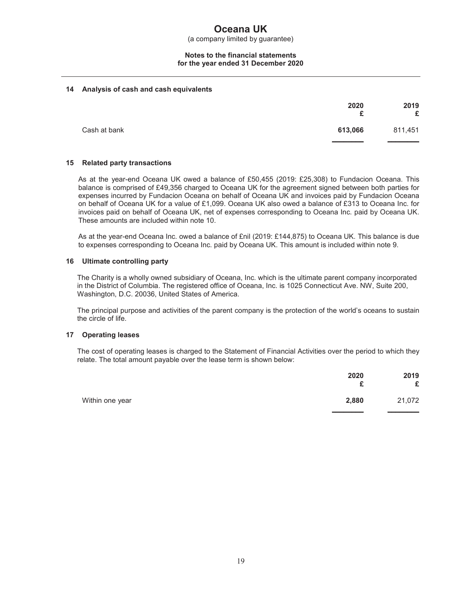(a company limited by guarantee)

#### **Notes to the financial statements for the year ended 31 December 2020**

#### **14 Analysis of cash and cash equivalents**

|              | 2020<br>£ | 2019<br>£ |
|--------------|-----------|-----------|
| Cash at bank | 613,066   | 811,451   |

#### **15 Related party transactions**

As at the year-end Oceana UK owed a balance of £50,455 (2019: £25,308) to Fundacion Oceana. This balance is comprised of £49,356 charged to Oceana UK for the agreement signed between both parties for expenses incurred by Fundacion Oceana on behalf of Oceana UK and invoices paid by Fundacion Oceana on behalf of Oceana UK for a value of £1,099. Oceana UK also owed a balance of £313 to Oceana Inc. for invoices paid on behalf of Oceana UK, net of expenses corresponding to Oceana Inc. paid by Oceana UK. These amounts are included within note 10.

As at the year-end Oceana Inc. owed a balance of £nil (2019: £144,875) to Oceana UK. This balance is due to expenses corresponding to Oceana Inc. paid by Oceana UK. This amount is included within note 9.

#### **16 Ultimate controlling party**

The Charity is a wholly owned subsidiary of Oceana, Inc. which is the ultimate parent company incorporated in the District of Columbia. The registered office of Oceana, Inc. is 1025 Connecticut Ave. NW, Suite 200, Washington, D.C. 20036, United States of America.

The principal purpose and activities of the parent company is the protection of the world's oceans to sustain the circle of life.

#### **17 Operating leases**

The cost of operating leases is charged to the Statement of Financial Activities over the period to which they relate. The total amount payable over the lease term is shown below:

|                 | 2020<br>c<br>- | 2019<br>£ |
|-----------------|----------------|-----------|
| Within one year | 2,880          | 21,072    |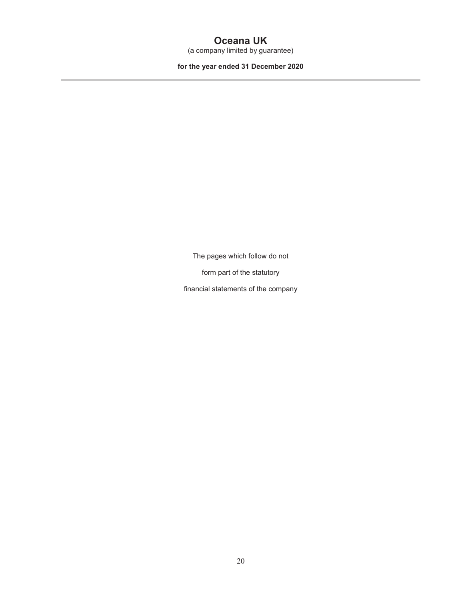(a company limited by guarantee)

**for the year ended 31 December 2020**

The pages which follow do not

form part of the statutory

financial statements of the company